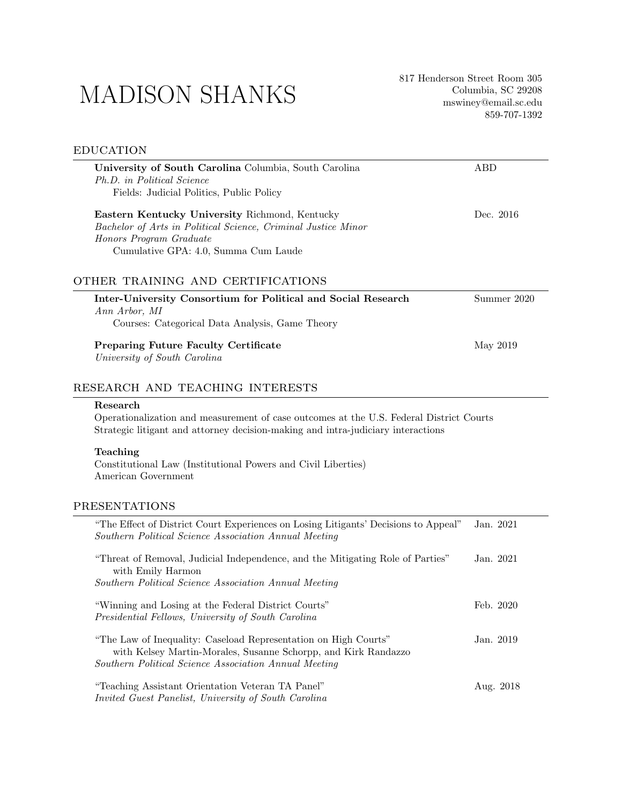# MADISON SHANKS

# **EDUCATION**

| University of South Carolina Columbia, South Carolina<br>Ph.D. in Political Science                                                                                                        | ABD         |
|--------------------------------------------------------------------------------------------------------------------------------------------------------------------------------------------|-------------|
| Fields: Judicial Politics, Public Policy                                                                                                                                                   |             |
| Eastern Kentucky University Richmond, Kentucky<br>Bachelor of Arts in Political Science, Criminal Justice Minor<br>Honors Program Graduate<br>Cumulative GPA: 4.0, Summa Cum Laude         | Dec. 2016   |
| OTHER TRAINING AND CERTIFICATIONS                                                                                                                                                          |             |
| Inter-University Consortium for Political and Social Research<br>Ann Arbor, MI                                                                                                             | Summer 2020 |
| Courses: Categorical Data Analysis, Game Theory                                                                                                                                            |             |
| <b>Preparing Future Faculty Certificate</b><br>University of South Carolina                                                                                                                | May 2019    |
| RESEARCH AND TEACHING INTERESTS                                                                                                                                                            |             |
| Research<br>Operationalization and measurement of case outcomes at the U.S. Federal District Courts<br>Strategic litigant and attorney decision-making and intra-judiciary interactions    |             |
| Teaching<br>Constitutional Law (Institutional Powers and Civil Liberties)<br>American Government                                                                                           |             |
| PRESENTATIONS                                                                                                                                                                              |             |
| "The Effect of District Court Experiences on Losing Litigants' Decisions to Appeal"<br>Southern Political Science Association Annual Meeting                                               | Jan. 2021   |
| "Threat of Removal, Judicial Independence, and the Mitigating Role of Parties"<br>with Emily Harmon<br>Southern Political Science Association Annual Meeting                               | Jan. 2021   |
| "Winning and Losing at the Federal District Courts"<br>Presidential Fellows, University of South Carolina                                                                                  | Feb. 2020   |
| "The Law of Inequality: Caseload Representation on High Courts"<br>with Kelsey Martin-Morales, Susanne Schorpp, and Kirk Randazzo<br>Southern Political Science Association Annual Meeting | Jan. 2019   |
| "Teaching Assistant Orientation Veteran TA Panel"<br>Invited Guest Panelist, University of South Carolina                                                                                  | Aug. 2018   |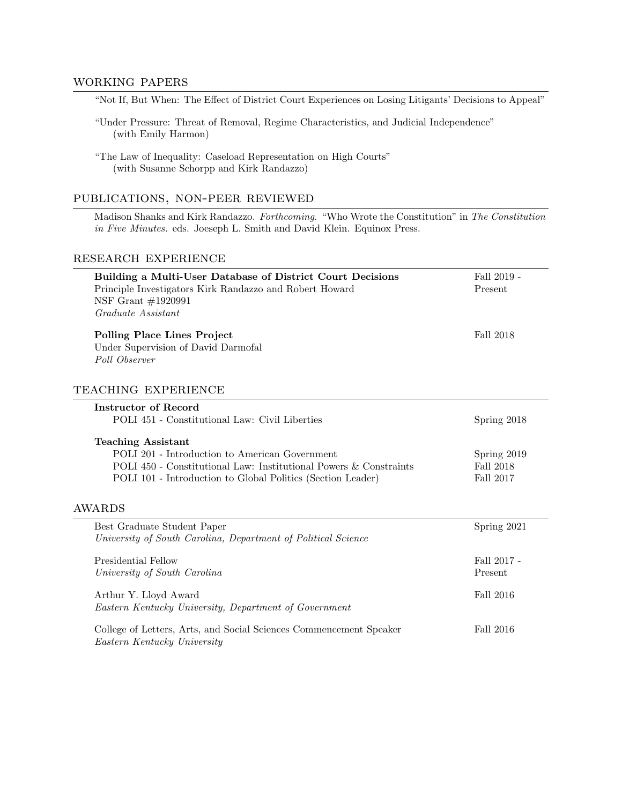#### working papers

"Not If, But When: The Effect of District Court Experiences on Losing Litigants' Decisions to Appeal"

"Under Pressure: Threat of Removal, Regime Characteristics, and Judicial Independence" (with Emily Harmon)

"The Law of Inequality: Caseload Representation on High Courts" (with Susanne Schorpp and Kirk Randazzo)

#### publications, non-peer reviewed

Madison Shanks and Kirk Randazzo. Forthcoming. "Who Wrote the Constitution" in The Constitution in Five Minutes. eds. Joeseph L. Smith and David Klein. Equinox Press.

## research experience

| Building a Multi-User Database of District Court Decisions<br>Principle Investigators Kirk Randazzo and Robert Howard<br>NSF Grant #1920991 | Fall 2019 -<br>Present |
|---------------------------------------------------------------------------------------------------------------------------------------------|------------------------|
| Graduate Assistant                                                                                                                          |                        |
| <b>Polling Place Lines Project</b><br>Under Supervision of David Darmofal<br>Poll Observer                                                  | Fall 2018              |
| TEACHING EXPERIENCE                                                                                                                         |                        |
| Instructor of Record                                                                                                                        |                        |
| POLI 451 - Constitutional Law: Civil Liberties                                                                                              | Spring 2018            |
| <b>Teaching Assistant</b>                                                                                                                   |                        |
| POLI 201 - Introduction to American Government                                                                                              | Spring 2019            |
| POLI 450 - Constitutional Law: Institutional Powers & Constraints                                                                           | Fall 2018              |
| POLI 101 - Introduction to Global Politics (Section Leader)                                                                                 | Fall 2017              |
| <b>AWARDS</b>                                                                                                                               |                        |
| Best Graduate Student Paper                                                                                                                 | Spring 2021            |
| University of South Carolina, Department of Political Science                                                                               |                        |
| Presidential Fellow                                                                                                                         | Fall 2017 -            |
| University of South Carolina                                                                                                                | Present                |
| Arthur Y. Lloyd Award                                                                                                                       | Fall 2016              |
| Eastern Kentucky University, Department of Government                                                                                       |                        |
| College of Letters, Arts, and Social Sciences Commencement Speaker                                                                          | Fall 2016              |
| Eastern Kentucky University                                                                                                                 |                        |